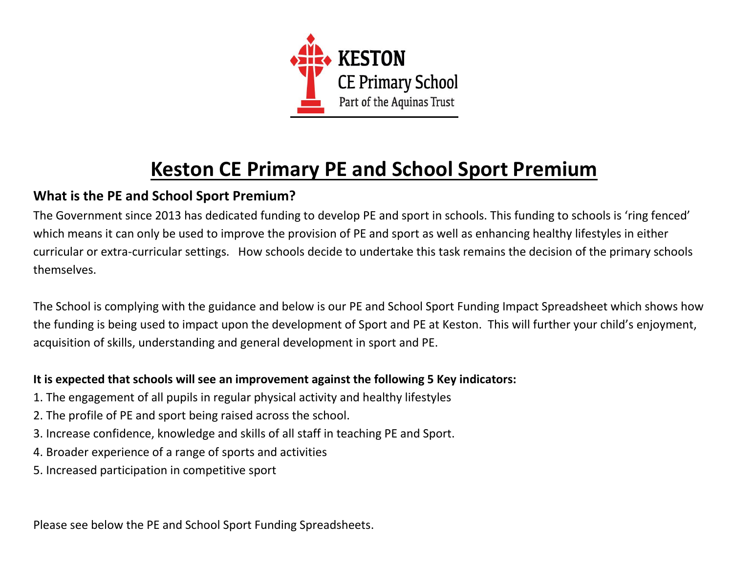

# **Keston CE Primary PE and School Sport Premium**

#### **What is the PE and School Sport Premium?**

The Government since 2013 has dedicated funding to develop PE and sport in schools. This funding to schools is 'ring fenced' which means it can only be used to improve the provision of PE and sport as well as enhancing healthy lifestyles in either curricular or extra-curricular settings. How schools decide to undertake this task remains the decision of the primary schools themselves.

The School is complying with the guidance and below is our PE and School Sport Funding Impact Spreadsheet which shows how the funding is being used to impact upon the development of Sport and PE at Keston. This will further your child's enjoyment, acquisition of skills, understanding and general development in sport and PE.

#### **It is expected that schools will see an improvement against the following 5 Key indicators:**

- 1. The engagement of all pupils in regular physical activity and healthy lifestyles
- 2. The profile of PE and sport being raised across the school.
- 3. Increase confidence, knowledge and skills of all staff in teaching PE and Sport.
- 4. Broader experience of a range of sports and activities
- 5. Increased participation in competitive sport

Please see below the PE and School Sport Funding Spreadsheets.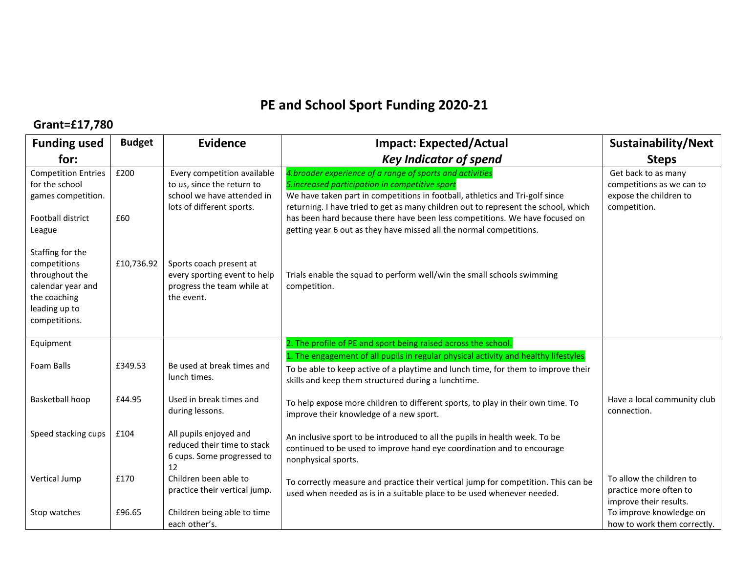### **PE and School Sport Funding 2020-21**

#### **Grant=£17,780**

| <b>Funding used</b>                                                                                                       | <b>Budget</b> | <b>Evidence</b>                                                                                                      | <b>Impact: Expected/Actual</b>                                                                                                                                                                                                                                                                                                                                                                                                           | Sustainability/Next                                                                        |
|---------------------------------------------------------------------------------------------------------------------------|---------------|----------------------------------------------------------------------------------------------------------------------|------------------------------------------------------------------------------------------------------------------------------------------------------------------------------------------------------------------------------------------------------------------------------------------------------------------------------------------------------------------------------------------------------------------------------------------|--------------------------------------------------------------------------------------------|
| for:                                                                                                                      |               |                                                                                                                      | <b>Key Indicator of spend</b>                                                                                                                                                                                                                                                                                                                                                                                                            | <b>Steps</b>                                                                               |
| <b>Competition Entries</b><br>for the school<br>games competition.<br>Football district<br>League                         | £200<br>£60   | Every competition available<br>to us, since the return to<br>school we have attended in<br>lots of different sports. | 4. broader experience of a range of sports and activities<br>5. increased participation in competitive sport<br>We have taken part in competitions in football, athletics and Tri-golf since<br>returning. I have tried to get as many children out to represent the school, which<br>has been hard because there have been less competitions. We have focused on<br>getting year 6 out as they have missed all the normal competitions. | Get back to as many<br>competitions as we can to<br>expose the children to<br>competition. |
| Staffing for the<br>competitions<br>throughout the<br>calendar year and<br>the coaching<br>leading up to<br>competitions. | £10,736.92    | Sports coach present at<br>every sporting event to help<br>progress the team while at<br>the event.                  | Trials enable the squad to perform well/win the small schools swimming<br>competition.                                                                                                                                                                                                                                                                                                                                                   |                                                                                            |
| Equipment                                                                                                                 |               |                                                                                                                      | 2. The profile of PE and sport being raised across the school.                                                                                                                                                                                                                                                                                                                                                                           |                                                                                            |
| <b>Foam Balls</b>                                                                                                         | £349.53       | Be used at break times and<br>lunch times.                                                                           | 1. The engagement of all pupils in regular physical activity and healthy lifestyles<br>To be able to keep active of a playtime and lunch time, for them to improve their<br>skills and keep them structured during a lunchtime.                                                                                                                                                                                                          |                                                                                            |
| Basketball hoop                                                                                                           | £44.95        | Used in break times and<br>during lessons.                                                                           | To help expose more children to different sports, to play in their own time. To<br>improve their knowledge of a new sport.                                                                                                                                                                                                                                                                                                               | Have a local community club<br>connection.                                                 |
| Speed stacking cups                                                                                                       | £104          | All pupils enjoyed and<br>reduced their time to stack<br>6 cups. Some progressed to<br>12                            | An inclusive sport to be introduced to all the pupils in health week. To be<br>continued to be used to improve hand eye coordination and to encourage<br>nonphysical sports.                                                                                                                                                                                                                                                             |                                                                                            |
| Vertical Jump                                                                                                             | £170          | Children been able to<br>practice their vertical jump.                                                               | To correctly measure and practice their vertical jump for competition. This can be<br>used when needed as is in a suitable place to be used whenever needed.                                                                                                                                                                                                                                                                             | To allow the children to<br>practice more often to<br>improve their results.               |
| Stop watches                                                                                                              | £96.65        | Children being able to time<br>each other's.                                                                         |                                                                                                                                                                                                                                                                                                                                                                                                                                          | To improve knowledge on<br>how to work them correctly.                                     |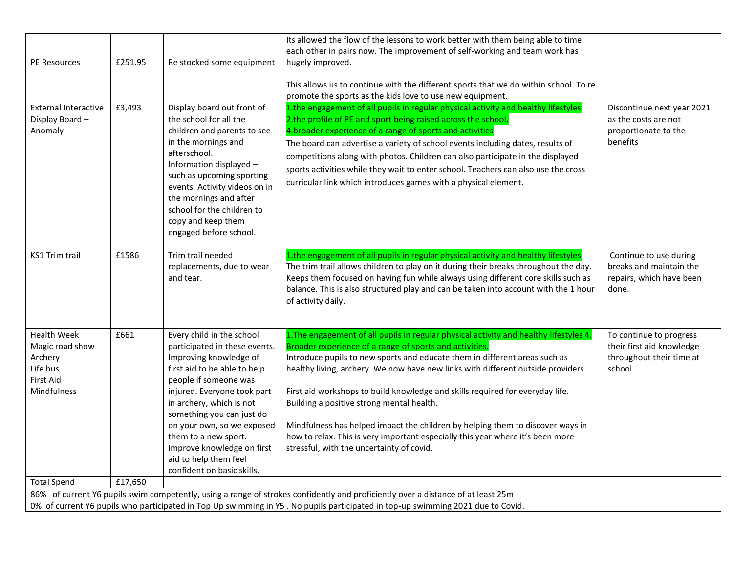| <b>PE Resources</b><br><b>External Interactive</b><br>Display Board-<br>Anomaly                                                  | £251.95<br>£3,493 | Re stocked some equipment<br>Display board out front of<br>the school for all the<br>children and parents to see<br>in the mornings and<br>afterschool.<br>Information displayed -<br>such as upcoming sporting<br>events. Activity videos on in<br>the mornings and after<br>school for the children to<br>copy and keep them<br>engaged before school.                         | Its allowed the flow of the lessons to work better with them being able to time<br>each other in pairs now. The improvement of self-working and team work has<br>hugely improved.<br>This allows us to continue with the different sports that we do within school. To re<br>promote the sports as the kids love to use new equipment.<br>1.the engagement of all pupils in regular physical activity and healthy lifestyles<br>2.the profile of PE and sport being raised across the school.<br>4. broader experience of a range of sports and activities<br>The board can advertise a variety of school events including dates, results of<br>competitions along with photos. Children can also participate in the displayed<br>sports activities while they wait to enter school. Teachers can also use the cross<br>curricular link which introduces games with a physical element. | Discontinue next year 2021<br>as the costs are not<br>proportionate to the<br>benefits      |  |
|----------------------------------------------------------------------------------------------------------------------------------|-------------------|----------------------------------------------------------------------------------------------------------------------------------------------------------------------------------------------------------------------------------------------------------------------------------------------------------------------------------------------------------------------------------|-----------------------------------------------------------------------------------------------------------------------------------------------------------------------------------------------------------------------------------------------------------------------------------------------------------------------------------------------------------------------------------------------------------------------------------------------------------------------------------------------------------------------------------------------------------------------------------------------------------------------------------------------------------------------------------------------------------------------------------------------------------------------------------------------------------------------------------------------------------------------------------------|---------------------------------------------------------------------------------------------|--|
| <b>KS1 Trim trail</b>                                                                                                            | £1586             | Trim trail needed<br>replacements, due to wear<br>and tear.                                                                                                                                                                                                                                                                                                                      | 1.the engagement of all pupils in regular physical activity and healthy lifestyles<br>The trim trail allows children to play on it during their breaks throughout the day.<br>Keeps them focused on having fun while always using different core skills such as<br>balance. This is also structured play and can be taken into account with the 1 hour<br>of activity daily.                                                                                                                                                                                                                                                                                                                                                                                                                                                                                                            | Continue to use during<br>breaks and maintain the<br>repairs, which have been<br>done.      |  |
| <b>Health Week</b><br>Magic road show<br>Archery<br>Life bus<br><b>First Aid</b><br><b>Mindfulness</b>                           | £661              | Every child in the school<br>participated in these events.<br>Improving knowledge of<br>first aid to be able to help<br>people if someone was<br>injured. Everyone took part<br>in archery, which is not<br>something you can just do<br>on your own, so we exposed<br>them to a new sport.<br>Improve knowledge on first<br>aid to help them feel<br>confident on basic skills. | 1. The engagement of all pupils in regular physical activity and healthy lifestyles 4.<br>Broader experience of a range of sports and activities.<br>Introduce pupils to new sports and educate them in different areas such as<br>healthy living, archery. We now have new links with different outside providers.<br>First aid workshops to build knowledge and skills required for everyday life.<br>Building a positive strong mental health.<br>Mindfulness has helped impact the children by helping them to discover ways in<br>how to relax. This is very important especially this year where it's been more<br>stressful, with the uncertainty of covid.                                                                                                                                                                                                                      | To continue to progress<br>their first aid knowledge<br>throughout their time at<br>school. |  |
| <b>Total Spend</b>                                                                                                               | £17,650           |                                                                                                                                                                                                                                                                                                                                                                                  |                                                                                                                                                                                                                                                                                                                                                                                                                                                                                                                                                                                                                                                                                                                                                                                                                                                                                         |                                                                                             |  |
| 86% of current Y6 pupils swim competently, using a range of strokes confidently and proficiently over a distance of at least 25m |                   |                                                                                                                                                                                                                                                                                                                                                                                  |                                                                                                                                                                                                                                                                                                                                                                                                                                                                                                                                                                                                                                                                                                                                                                                                                                                                                         |                                                                                             |  |
| 0% of current Y6 pupils who participated in Top Up swimming in Y5 . No pupils participated in top-up swimming 2021 due to Covid. |                   |                                                                                                                                                                                                                                                                                                                                                                                  |                                                                                                                                                                                                                                                                                                                                                                                                                                                                                                                                                                                                                                                                                                                                                                                                                                                                                         |                                                                                             |  |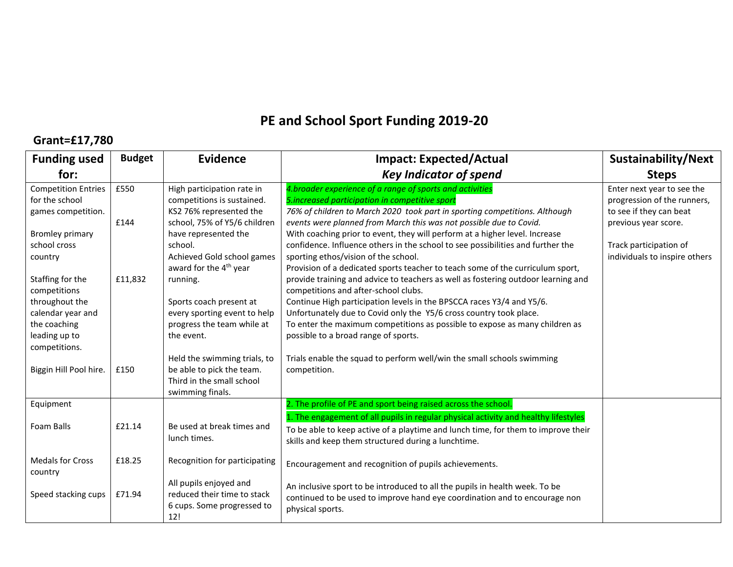## **PE and School Sport Funding 2019-20**

### **Grant=£17,780**

| <b>Funding used</b>                                                                                                                                 | <b>Budget</b>   | <b>Evidence</b>                                                                                                                                                                                                                                                     | <b>Impact: Expected/Actual</b>                                                                                                                                                                                                                                                                                                                                                                                                                                                                                                                                              | Sustainability/Next                                                                                                                                                     |
|-----------------------------------------------------------------------------------------------------------------------------------------------------|-----------------|---------------------------------------------------------------------------------------------------------------------------------------------------------------------------------------------------------------------------------------------------------------------|-----------------------------------------------------------------------------------------------------------------------------------------------------------------------------------------------------------------------------------------------------------------------------------------------------------------------------------------------------------------------------------------------------------------------------------------------------------------------------------------------------------------------------------------------------------------------------|-------------------------------------------------------------------------------------------------------------------------------------------------------------------------|
| for:                                                                                                                                                |                 |                                                                                                                                                                                                                                                                     | <b>Key Indicator of spend</b>                                                                                                                                                                                                                                                                                                                                                                                                                                                                                                                                               | <b>Steps</b>                                                                                                                                                            |
| <b>Competition Entries</b><br>for the school<br>games competition.<br><b>Bromley primary</b><br>school cross<br>country                             | £550<br>£144    | High participation rate in<br>competitions is sustained.<br>KS2 76% represented the<br>school, 75% of Y5/6 children<br>have represented the<br>school.<br>Achieved Gold school games                                                                                | 4. broader experience of a range of sports and activities<br>5. increased participation in competitive sport<br>76% of children to March 2020 took part in sporting competitions. Although<br>events were planned from March this was not possible due to Covid.<br>With coaching prior to event, they will perform at a higher level. Increase<br>confidence. Influence others in the school to see possibilities and further the<br>sporting ethos/vision of the school.                                                                                                  | Enter next year to see the<br>progression of the runners,<br>to see if they can beat<br>previous year score.<br>Track participation of<br>individuals to inspire others |
| Staffing for the<br>competitions<br>throughout the<br>calendar year and<br>the coaching<br>leading up to<br>competitions.<br>Biggin Hill Pool hire. | £11,832<br>£150 | award for the 4 <sup>th</sup> year<br>running.<br>Sports coach present at<br>every sporting event to help<br>progress the team while at<br>the event.<br>Held the swimming trials, to<br>be able to pick the team.<br>Third in the small school<br>swimming finals. | Provision of a dedicated sports teacher to teach some of the curriculum sport,<br>provide training and advice to teachers as well as fostering outdoor learning and<br>competitions and after-school clubs.<br>Continue High participation levels in the BPSCCA races Y3/4 and Y5/6.<br>Unfortunately due to Covid only the Y5/6 cross country took place.<br>To enter the maximum competitions as possible to expose as many children as<br>possible to a broad range of sports.<br>Trials enable the squad to perform well/win the small schools swimming<br>competition. |                                                                                                                                                                         |
| Equipment<br>Foam Balls                                                                                                                             | £21.14          | Be used at break times and<br>lunch times.                                                                                                                                                                                                                          | 2. The profile of PE and sport being raised across the school.<br>1. The engagement of all pupils in regular physical activity and healthy lifestyles<br>To be able to keep active of a playtime and lunch time, for them to improve their<br>skills and keep them structured during a lunchtime.                                                                                                                                                                                                                                                                           |                                                                                                                                                                         |
| <b>Medals for Cross</b><br>country                                                                                                                  | £18.25          | Recognition for participating                                                                                                                                                                                                                                       | Encouragement and recognition of pupils achievements.                                                                                                                                                                                                                                                                                                                                                                                                                                                                                                                       |                                                                                                                                                                         |
| Speed stacking cups                                                                                                                                 | £71.94          | All pupils enjoyed and<br>reduced their time to stack<br>6 cups. Some progressed to<br>12!                                                                                                                                                                          | An inclusive sport to be introduced to all the pupils in health week. To be<br>continued to be used to improve hand eye coordination and to encourage non<br>physical sports.                                                                                                                                                                                                                                                                                                                                                                                               |                                                                                                                                                                         |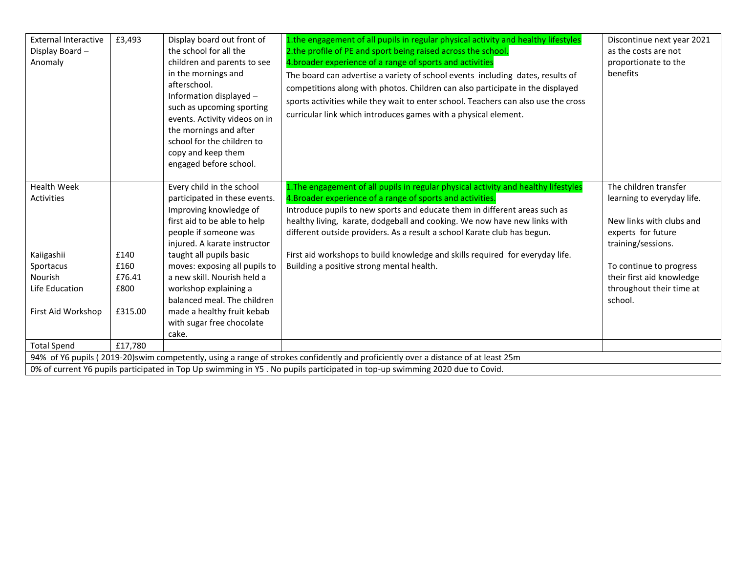| <b>External Interactive</b><br>Display Board -<br>Anomaly                                                                         | £3,493                                    | Display board out front of<br>the school for all the<br>children and parents to see<br>in the mornings and<br>afterschool.<br>Information displayed -<br>such as upcoming sporting<br>events. Activity videos on in<br>the mornings and after<br>school for the children to<br>copy and keep them<br>engaged before school.                                                                          | 1.the engagement of all pupils in regular physical activity and healthy lifestyles<br>2.the profile of PE and sport being raised across the school.<br>4. broader experience of a range of sports and activities<br>The board can advertise a variety of school events including dates, results of<br>competitions along with photos. Children can also participate in the displayed<br>sports activities while they wait to enter school. Teachers can also use the cross<br>curricular link which introduces games with a physical element. | Discontinue next year 2021<br>as the costs are not<br>proportionate to the<br>benefits                                                                                                                                     |
|-----------------------------------------------------------------------------------------------------------------------------------|-------------------------------------------|------------------------------------------------------------------------------------------------------------------------------------------------------------------------------------------------------------------------------------------------------------------------------------------------------------------------------------------------------------------------------------------------------|-----------------------------------------------------------------------------------------------------------------------------------------------------------------------------------------------------------------------------------------------------------------------------------------------------------------------------------------------------------------------------------------------------------------------------------------------------------------------------------------------------------------------------------------------|----------------------------------------------------------------------------------------------------------------------------------------------------------------------------------------------------------------------------|
| <b>Health Week</b><br><b>Activities</b><br>Kaiigashii<br>Sportacus<br>Nourish<br>Life Education<br>First Aid Workshop             | £140<br>£160<br>£76.41<br>£800<br>£315.00 | Every child in the school<br>participated in these events.<br>Improving knowledge of<br>first aid to be able to help<br>people if someone was<br>injured. A karate instructor<br>taught all pupils basic<br>moves: exposing all pupils to<br>a new skill. Nourish held a<br>workshop explaining a<br>balanced meal. The children<br>made a healthy fruit kebab<br>with sugar free chocolate<br>cake. | 1. The engagement of all pupils in regular physical activity and healthy lifestyles<br>4. Broader experience of a range of sports and activities.<br>Introduce pupils to new sports and educate them in different areas such as<br>healthy living, karate, dodgeball and cooking. We now have new links with<br>different outside providers. As a result a school Karate club has begun.<br>First aid workshops to build knowledge and skills required for everyday life.<br>Building a positive strong mental health.                        | The children transfer<br>learning to everyday life.<br>New links with clubs and<br>experts for future<br>training/sessions.<br>To continue to progress<br>their first aid knowledge<br>throughout their time at<br>school. |
| <b>Total Spend</b>                                                                                                                | £17,780                                   |                                                                                                                                                                                                                                                                                                                                                                                                      |                                                                                                                                                                                                                                                                                                                                                                                                                                                                                                                                               |                                                                                                                                                                                                                            |
| 94% of Y6 pupils (2019-20)swim competently, using a range of strokes confidently and proficiently over a distance of at least 25m |                                           |                                                                                                                                                                                                                                                                                                                                                                                                      |                                                                                                                                                                                                                                                                                                                                                                                                                                                                                                                                               |                                                                                                                                                                                                                            |
|                                                                                                                                   |                                           |                                                                                                                                                                                                                                                                                                                                                                                                      | 0% of current Y6 pupils participated in Top Up swimming in Y5. No pupils participated in top-up swimming 2020 due to Covid.                                                                                                                                                                                                                                                                                                                                                                                                                   |                                                                                                                                                                                                                            |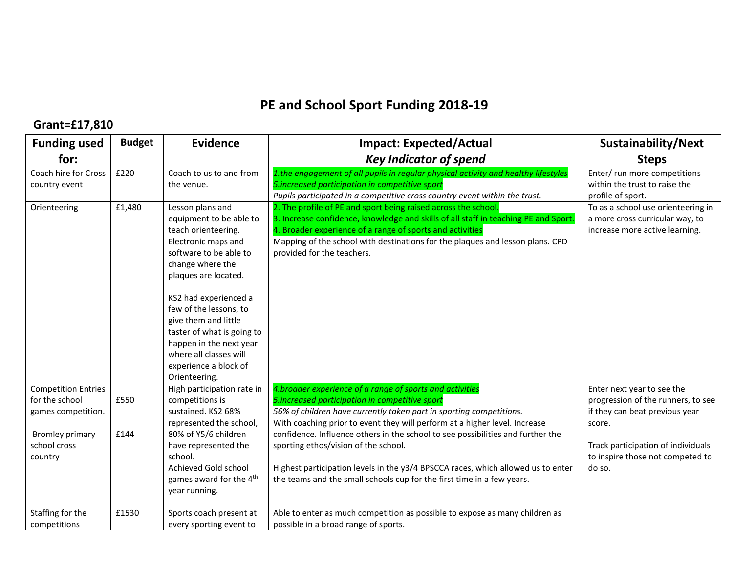### **PE and School Sport Funding 2018-19**

#### **Grant=£17,810**

| <b>Funding used</b>                                                | <b>Budget</b> | <b>Evidence</b>                                                                                                                                                                                                                                                                                                                                                         | <b>Impact: Expected/Actual</b>                                                                                                                                                                                                                                                                                                   | Sustainability/Next                                                                                          |
|--------------------------------------------------------------------|---------------|-------------------------------------------------------------------------------------------------------------------------------------------------------------------------------------------------------------------------------------------------------------------------------------------------------------------------------------------------------------------------|----------------------------------------------------------------------------------------------------------------------------------------------------------------------------------------------------------------------------------------------------------------------------------------------------------------------------------|--------------------------------------------------------------------------------------------------------------|
| for:                                                               |               |                                                                                                                                                                                                                                                                                                                                                                         | <b>Key Indicator of spend</b>                                                                                                                                                                                                                                                                                                    | <b>Steps</b>                                                                                                 |
| Coach hire for Cross<br>country event                              | £220          | Coach to us to and from<br>the venue.                                                                                                                                                                                                                                                                                                                                   | 1.the engagement of all pupils in regular physical activity and healthy lifestyles<br>5. increased participation in competitive sport<br>Pupils participated in a competitive cross country event within the trust.                                                                                                              | Enter/ run more competitions<br>within the trust to raise the<br>profile of sport.                           |
| Orienteering                                                       | £1,480        | Lesson plans and<br>equipment to be able to<br>teach orienteering.<br>Electronic maps and<br>software to be able to<br>change where the<br>plaques are located.<br>KS2 had experienced a<br>few of the lessons, to<br>give them and little<br>taster of what is going to<br>happen in the next year<br>where all classes will<br>experience a block of<br>Orienteering. | 2. The profile of PE and sport being raised across the school.<br>3. Increase confidence, knowledge and skills of all staff in teaching PE and Sport<br>4. Broader experience of a range of sports and activities<br>Mapping of the school with destinations for the plaques and lesson plans. CPD<br>provided for the teachers. | To as a school use orienteering in<br>a more cross curricular way, to<br>increase more active learning.      |
| <b>Competition Entries</b><br>for the school<br>games competition. | £550          | High participation rate in<br>competitions is<br>sustained. KS2 68%<br>represented the school,                                                                                                                                                                                                                                                                          | 4. broader experience of a range of sports and activities<br>5. increased participation in competitive sport<br>56% of children have currently taken part in sporting competitions.<br>With coaching prior to event they will perform at a higher level. Increase                                                                | Enter next year to see the<br>progression of the runners, to see<br>if they can beat previous year<br>score. |
| <b>Bromley primary</b><br>school cross<br>country                  | £144          | 80% of Y5/6 children<br>have represented the<br>school.<br>Achieved Gold school<br>games award for the 4 <sup>th</sup><br>year running.                                                                                                                                                                                                                                 | confidence. Influence others in the school to see possibilities and further the<br>sporting ethos/vision of the school.<br>Highest participation levels in the y3/4 BPSCCA races, which allowed us to enter<br>the teams and the small schools cup for the first time in a few years.                                            | Track participation of individuals<br>to inspire those not competed to<br>do so.                             |
| Staffing for the<br>competitions                                   | £1530         | Sports coach present at<br>every sporting event to                                                                                                                                                                                                                                                                                                                      | Able to enter as much competition as possible to expose as many children as<br>possible in a broad range of sports.                                                                                                                                                                                                              |                                                                                                              |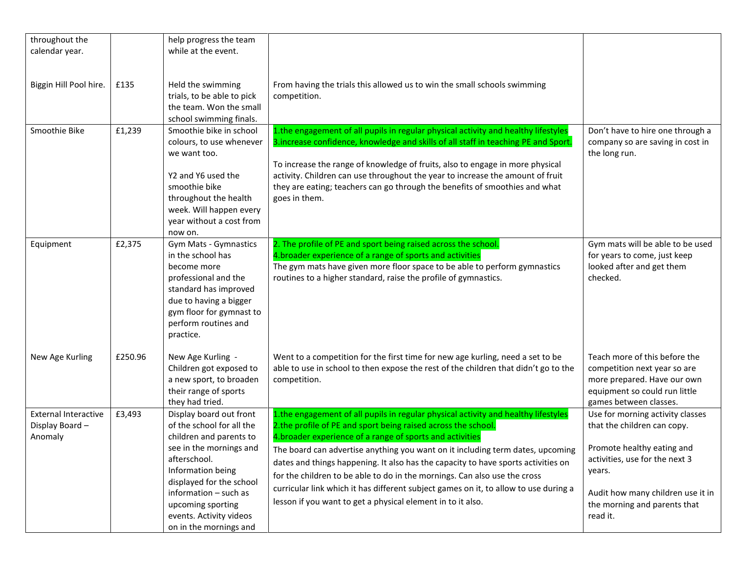| throughout the                                           |         | help progress the team                                                                                                                                                                                |                                                                                                                                                                                                                                                                                                                                                                                                                                              |                                                                                                                                                         |
|----------------------------------------------------------|---------|-------------------------------------------------------------------------------------------------------------------------------------------------------------------------------------------------------|----------------------------------------------------------------------------------------------------------------------------------------------------------------------------------------------------------------------------------------------------------------------------------------------------------------------------------------------------------------------------------------------------------------------------------------------|---------------------------------------------------------------------------------------------------------------------------------------------------------|
| calendar year.                                           |         | while at the event.                                                                                                                                                                                   |                                                                                                                                                                                                                                                                                                                                                                                                                                              |                                                                                                                                                         |
|                                                          |         |                                                                                                                                                                                                       |                                                                                                                                                                                                                                                                                                                                                                                                                                              |                                                                                                                                                         |
| Biggin Hill Pool hire.                                   | £135    | Held the swimming<br>trials, to be able to pick<br>the team. Won the small<br>school swimming finals.                                                                                                 | From having the trials this allowed us to win the small schools swimming<br>competition.                                                                                                                                                                                                                                                                                                                                                     |                                                                                                                                                         |
| Smoothie Bike                                            | £1,239  | Smoothie bike in school<br>colours, to use whenever<br>we want too.<br>Y2 and Y6 used the<br>smoothie bike<br>throughout the health<br>week. Will happen every<br>year without a cost from<br>now on. | 1.the engagement of all pupils in regular physical activity and healthy lifestyles<br>3. increase confidence, knowledge and skills of all staff in teaching PE and Sport.<br>To increase the range of knowledge of fruits, also to engage in more physical<br>activity. Children can use throughout the year to increase the amount of fruit<br>they are eating; teachers can go through the benefits of smoothies and what<br>goes in them. | Don't have to hire one through a<br>company so are saving in cost in<br>the long run.                                                                   |
| Equipment                                                | £2,375  | Gym Mats - Gymnastics<br>in the school has<br>become more<br>professional and the<br>standard has improved<br>due to having a bigger<br>gym floor for gymnast to<br>perform routines and<br>practice. | 2. The profile of PE and sport being raised across the school.<br>4. broader experience of a range of sports and activities<br>The gym mats have given more floor space to be able to perform gymnastics<br>routines to a higher standard, raise the profile of gymnastics.                                                                                                                                                                  | Gym mats will be able to be used<br>for years to come, just keep<br>looked after and get them<br>checked.                                               |
| New Age Kurling                                          | £250.96 | New Age Kurling -<br>Children got exposed to<br>a new sport, to broaden<br>their range of sports<br>they had tried.                                                                                   | Went to a competition for the first time for new age kurling, need a set to be<br>able to use in school to then expose the rest of the children that didn't go to the<br>competition.                                                                                                                                                                                                                                                        | Teach more of this before the<br>competition next year so are<br>more prepared. Have our own<br>equipment so could run little<br>games between classes. |
| <b>External Interactive</b><br>Display Board-<br>Anomaly | £3,493  | Display board out front<br>of the school for all the<br>children and parents to                                                                                                                       | 1.the engagement of all pupils in regular physical activity and healthy lifestyles<br>2.the profile of PE and sport being raised across the school.<br>4. broader experience of a range of sports and activities                                                                                                                                                                                                                             | Use for morning activity classes<br>that the children can copy.                                                                                         |
|                                                          |         | see in the mornings and<br>afterschool.<br>Information being                                                                                                                                          | The board can advertise anything you want on it including term dates, upcoming<br>dates and things happening. It also has the capacity to have sports activities on<br>for the children to be able to do in the mornings. Can also use the cross                                                                                                                                                                                             | Promote healthy eating and<br>activities, use for the next 3<br>years.                                                                                  |
|                                                          |         | displayed for the school<br>information - such as<br>upcoming sporting<br>events. Activity videos<br>on in the mornings and                                                                           | curricular link which it has different subject games on it, to allow to use during a<br>lesson if you want to get a physical element in to it also.                                                                                                                                                                                                                                                                                          | Audit how many children use it in<br>the morning and parents that<br>read it.                                                                           |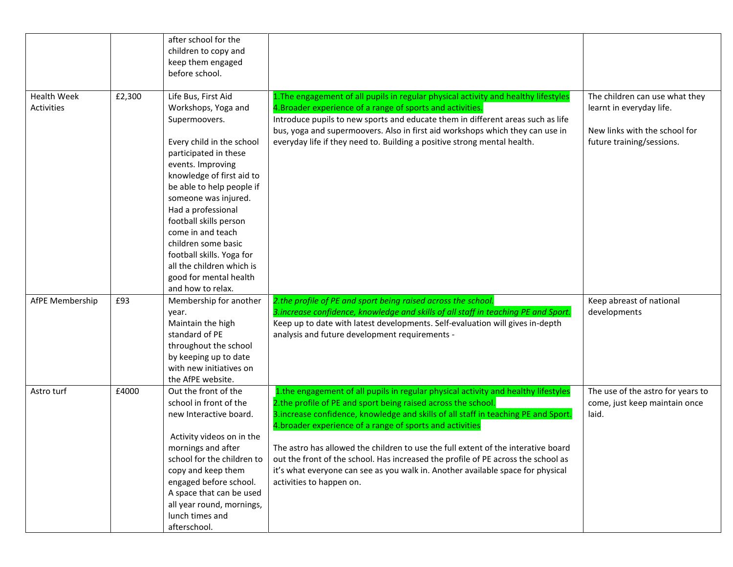|                                  |        | after school for the<br>children to copy and<br>keep them engaged                                                                                                                                                                                                                                                                                                                                                             |                                                                                                                                                                                                                                                                                                                                                                                                                                                                                                                                                                                                  |                                                                                                                          |
|----------------------------------|--------|-------------------------------------------------------------------------------------------------------------------------------------------------------------------------------------------------------------------------------------------------------------------------------------------------------------------------------------------------------------------------------------------------------------------------------|--------------------------------------------------------------------------------------------------------------------------------------------------------------------------------------------------------------------------------------------------------------------------------------------------------------------------------------------------------------------------------------------------------------------------------------------------------------------------------------------------------------------------------------------------------------------------------------------------|--------------------------------------------------------------------------------------------------------------------------|
|                                  |        | before school.                                                                                                                                                                                                                                                                                                                                                                                                                |                                                                                                                                                                                                                                                                                                                                                                                                                                                                                                                                                                                                  |                                                                                                                          |
| <b>Health Week</b><br>Activities | £2,300 | Life Bus, First Aid<br>Workshops, Yoga and<br>Supermoovers.<br>Every child in the school<br>participated in these<br>events. Improving<br>knowledge of first aid to<br>be able to help people if<br>someone was injured.<br>Had a professional<br>football skills person<br>come in and teach<br>children some basic<br>football skills. Yoga for<br>all the children which is<br>good for mental health<br>and how to relax. | 1. The engagement of all pupils in regular physical activity and healthy lifestyles<br>4. Broader experience of a range of sports and activities.<br>Introduce pupils to new sports and educate them in different areas such as life<br>bus, yoga and supermoovers. Also in first aid workshops which they can use in<br>everyday life if they need to. Building a positive strong mental health.                                                                                                                                                                                                | The children can use what they<br>learnt in everyday life.<br>New links with the school for<br>future training/sessions. |
| AfPE Membership                  | £93    | Membership for another<br>year.<br>Maintain the high<br>standard of PE<br>throughout the school<br>by keeping up to date<br>with new initiatives on<br>the AfPE website.                                                                                                                                                                                                                                                      | 2. the profile of PE and sport being raised across the school.<br>3. increase confidence, knowledge and skills of all staff in teaching PE and Sport.<br>Keep up to date with latest developments. Self-evaluation will gives in-depth<br>analysis and future development requirements -                                                                                                                                                                                                                                                                                                         | Keep abreast of national<br>developments                                                                                 |
| Astro turf                       | £4000  | Out the front of the<br>school in front of the<br>new Interactive board.<br>Activity videos on in the<br>mornings and after<br>school for the children to<br>copy and keep them<br>engaged before school.<br>A space that can be used<br>all year round, mornings,<br>lunch times and<br>afterschool.                                                                                                                         | 1.the engagement of all pupils in regular physical activity and healthy lifestyles<br>2.the profile of PE and sport being raised across the school.<br>3. increase confidence, knowledge and skills of all staff in teaching PE and Sport.<br>4. broader experience of a range of sports and activities<br>The astro has allowed the children to use the full extent of the interative board<br>out the front of the school. Has increased the profile of PE across the school as<br>it's what everyone can see as you walk in. Another available space for physical<br>activities to happen on. | The use of the astro for years to<br>come, just keep maintain once<br>laid.                                              |